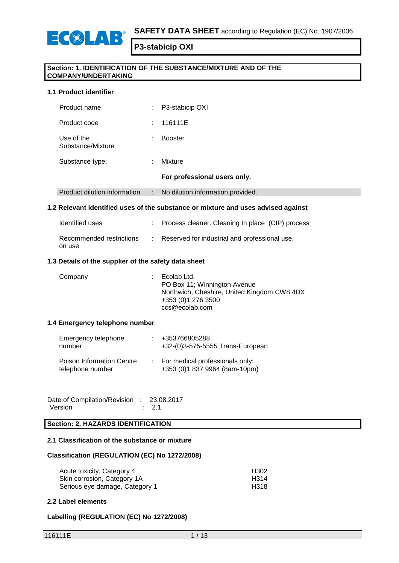



## **Section: 1. IDENTIFICATION OF THE SUBSTANCE/MIXTURE AND OF THE COMPANY/UNDERTAKING**

### **1.1 Product identifier**

 $E(X|A)$ 

| Product name                    | t. | P3-stabicip OXI                   |
|---------------------------------|----|-----------------------------------|
| Product code                    | t. | 116111E                           |
| Use of the<br>Substance/Mixture |    | <b>Booster</b>                    |
| Substance type:                 |    | Mixture                           |
|                                 |    | For professional users only.      |
| Product dilution information    | ÷. | No dilution information provided. |
|                                 |    |                                   |

#### **1.2 Relevant identified uses of the substance or mixture and uses advised against**

| Identified uses                    | : Process cleaner. Cleaning In place (CIP) process |
|------------------------------------|----------------------------------------------------|
| Recommended restrictions<br>on use | Reserved for industrial and professional use.      |

## **1.3 Details of the supplier of the safety data sheet**

| Company | Ecolab Ltd.<br>PO Box 11; Winnington Avenue<br>Northwich, Cheshire, United Kingdom CW8 4DX<br>+353 (0) 1 276 3500<br>ccs@ecolab.com |
|---------|-------------------------------------------------------------------------------------------------------------------------------------|
|         |                                                                                                                                     |

#### **1.4 Emergency telephone number**

| Emergency telephone<br>number                        | +353766805288<br>+32-(0)3-575-5555 Trans-European                  |
|------------------------------------------------------|--------------------------------------------------------------------|
| <b>Poison Information Centre</b><br>telephone number | : For medical professionals only:<br>+353 (0)1 837 9964 (8am-10pm) |

Date of Compilation/Revision : 23.08.2017<br>Version : 2.1 **Version** 

## **Section: 2. HAZARDS IDENTIFICATION**

## **2.1 Classification of the substance or mixture**

#### **Classification (REGULATION (EC) No 1272/2008)**

| Acute toxicity, Category 4     | H302 |
|--------------------------------|------|
| Skin corrosion, Category 1A    | H314 |
| Serious eye damage, Category 1 | H318 |

#### **2.2 Label elements**

#### **Labelling (REGULATION (EC) No 1272/2008)**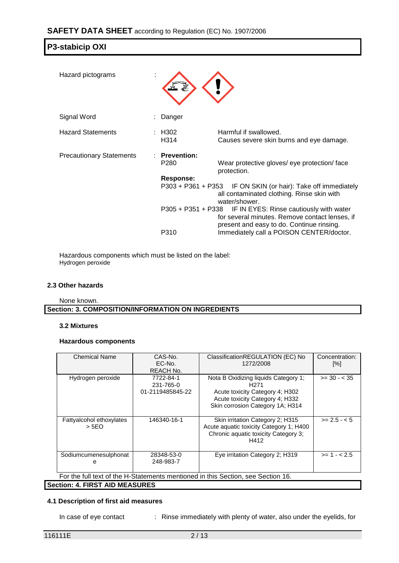| Hazard pictograms               |                                          |                                                                                                                                                           |
|---------------------------------|------------------------------------------|-----------------------------------------------------------------------------------------------------------------------------------------------------------|
| Signal Word                     | Danger                                   |                                                                                                                                                           |
| <b>Hazard Statements</b>        | : H302<br>H314                           | Harmful if swallowed.<br>Causes severe skin burns and eye damage.                                                                                         |
| <b>Precautionary Statements</b> | $:$ Prevention:<br>P <sub>280</sub>      | Wear protective gloves/ eye protection/ face<br>protection.                                                                                               |
|                                 | <b>Response:</b><br>$P303 + P361 + P353$ | IF ON SKIN (or hair): Take off immediately<br>all contaminated clothing. Rinse skin with<br>water/shower.                                                 |
|                                 |                                          | P305 + P351 + P338 IF IN EYES: Rinse cautiously with water<br>for several minutes. Remove contact lenses, if<br>present and easy to do. Continue rinsing. |
|                                 | P310                                     | Immediately call a POISON CENTER/doctor.                                                                                                                  |

Hazardous components which must be listed on the label: Hydrogen peroxide

#### **2.3 Other hazards**

None known.

**Section: 3. COMPOSITION/INFORMATION ON INGREDIENTS**

#### **3.2 Mixtures**

### **Hazardous components**

| <b>Chemical Name</b>                                                             | CAS-No.<br>EC-No.<br>REACH No.             | ClassificationREGULATION (EC) No<br>1272/2008                                                                                                                      | Concentration:<br>[%] |  |
|----------------------------------------------------------------------------------|--------------------------------------------|--------------------------------------------------------------------------------------------------------------------------------------------------------------------|-----------------------|--|
| Hydrogen peroxide                                                                | 7722-84-1<br>231-765-0<br>01-2119485845-22 | Nota B Oxidizing liquids Category 1;<br>H <sub>271</sub><br>Acute toxicity Category 4; H302<br>Acute toxicity Category 4; H332<br>Skin corrosion Category 1A; H314 | $>= 30 - 35$          |  |
| Fattyalcohol ethoxylates<br>> 5EO                                                | 146340-16-1                                | Skin irritation Category 2; H315<br>Acute aquatic toxicity Category 1; H400<br>Chronic aquatic toxicity Category 3;<br>H412                                        | $>= 2.5 - 5.5$        |  |
| Sodiumcumenesulphonat<br>e                                                       | 28348-53-0<br>248-983-7                    | Eye irritation Category 2; H319                                                                                                                                    | $>= 1 - 2.5$          |  |
| For the full text of the H-Statements mentioned in this Section, see Section 16. |                                            |                                                                                                                                                                    |                       |  |
| <b>Section: 4. FIRST AID MEASURES</b>                                            |                                            |                                                                                                                                                                    |                       |  |

#### **4.1 Description of first aid measures**

In case of eye contact : Rinse immediately with plenty of water, also under the eyelids, for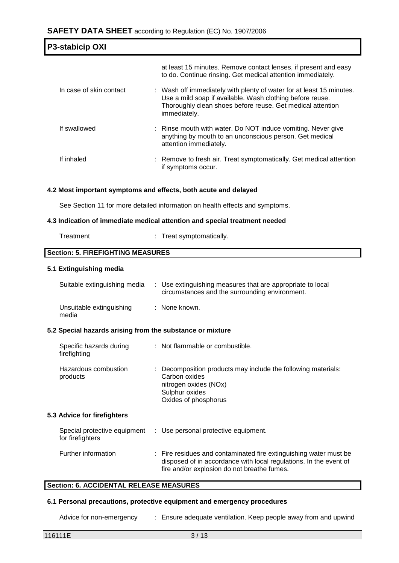| <b>P3-stabicip OXI</b>  |                                                                                                                                                                                                                 |
|-------------------------|-----------------------------------------------------------------------------------------------------------------------------------------------------------------------------------------------------------------|
|                         | at least 15 minutes. Remove contact lenses, if present and easy<br>to do. Continue rinsing. Get medical attention immediately.                                                                                  |
| In case of skin contact | : Wash off immediately with plenty of water for at least 15 minutes.<br>Use a mild soap if available. Wash clothing before reuse.<br>Thoroughly clean shoes before reuse. Get medical attention<br>immediately. |
| If swallowed            | : Rinse mouth with water. Do NOT induce vomiting. Never give<br>anything by mouth to an unconscious person. Get medical<br>attention immediately.                                                               |
| If inhaled              | : Remove to fresh air. Treat symptomatically. Get medical attention<br>if symptoms occur.                                                                                                                       |

## **4.2 Most important symptoms and effects, both acute and delayed**

See Section 11 for more detailed information on health effects and symptoms.

#### **4.3 Indication of immediate medical attention and special treatment needed**

| Treat symptomatically.<br>Treatment |  |
|-------------------------------------|--|
|-------------------------------------|--|

# **Section: 5. FIREFIGHTING MEASURES**

### **5.1 Extinguishing media**

| Suitable extinguishing media      | : Use extinguishing measures that are appropriate to local<br>circumstances and the surrounding environment. |
|-----------------------------------|--------------------------------------------------------------------------------------------------------------|
| Unsuitable extinguishing<br>media | : None known.                                                                                                |

#### **5.2 Special hazards arising from the substance or mixture**

| Specific hazards during<br>firefighting | : Not flammable or combustible.                                                                                                                   |
|-----------------------------------------|---------------------------------------------------------------------------------------------------------------------------------------------------|
| Hazardous combustion<br>products        | : Decomposition products may include the following materials:<br>Carbon oxides<br>nitrogen oxides (NOx)<br>Sulphur oxides<br>Oxides of phosphorus |

### **5.3 Advice for firefighters**

| for firefighters    | Special protective equipment : Use personal protective equipment.                                                                                                                     |
|---------------------|---------------------------------------------------------------------------------------------------------------------------------------------------------------------------------------|
| Further information | : Fire residues and contaminated fire extinguishing water must be<br>disposed of in accordance with local regulations. In the event of<br>fire and/or explosion do not breathe fumes. |

#### **Section: 6. ACCIDENTAL RELEASE MEASURES**

#### **6.1 Personal precautions, protective equipment and emergency procedures**

Advice for non-emergency : Ensure adequate ventilation. Keep people away from and upwind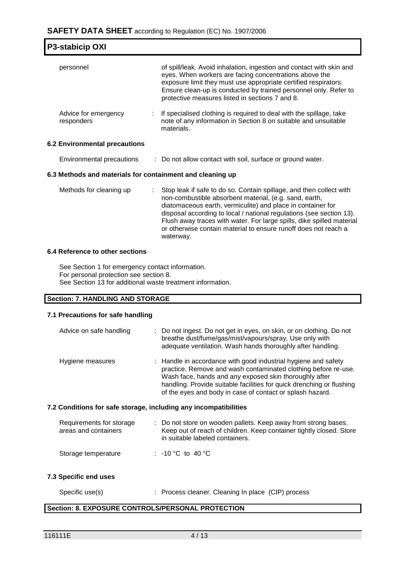# **SAFETY DATA SHEET** according to Regulation (EC) No. 1907/2006

| <b>P3-stabicip OXI</b>               |                                                           |                                                                                                                                                                                                                                                                                                                                                                                                                               |  |  |  |
|--------------------------------------|-----------------------------------------------------------|-------------------------------------------------------------------------------------------------------------------------------------------------------------------------------------------------------------------------------------------------------------------------------------------------------------------------------------------------------------------------------------------------------------------------------|--|--|--|
| personnel                            |                                                           | of spill/leak. Avoid inhalation, ingestion and contact with skin and<br>eyes. When workers are facing concentrations above the<br>exposure limit they must use appropriate certified respirators.<br>Ensure clean-up is conducted by trained personnel only. Refer to<br>protective measures listed in sections 7 and 8.                                                                                                      |  |  |  |
| Advice for emergency<br>responders   |                                                           | If specialised clothing is required to deal with the spillage, take<br>note of any information in Section 8 on suitable and unsuitable<br>materials.                                                                                                                                                                                                                                                                          |  |  |  |
| <b>6.2 Environmental precautions</b> |                                                           |                                                                                                                                                                                                                                                                                                                                                                                                                               |  |  |  |
| Environmental precautions            |                                                           | : Do not allow contact with soil, surface or ground water.                                                                                                                                                                                                                                                                                                                                                                    |  |  |  |
|                                      | 6.3 Methods and materials for containment and cleaning up |                                                                                                                                                                                                                                                                                                                                                                                                                               |  |  |  |
| Methods for cleaning up              |                                                           | Stop leak if safe to do so. Contain spillage, and then collect with<br>non-combustible absorbent material, (e.g. sand, earth,<br>diatomaceous earth, vermiculite) and place in container for<br>disposal according to local / national regulations (see section 13).<br>Flush away traces with water. For large spills, dike spilled material<br>or otherwise contain material to ensure runoff does not reach a<br>waterway. |  |  |  |

#### **6.4 Reference to other sections**

See Section 1 for emergency contact information. For personal protection see section 8. See Section 13 for additional waste treatment information.

### **Section: 7. HANDLING AND STORAGE**

#### **7.1 Precautions for safe handling**

| Advice on safe handling | : Do not ingest. Do not get in eyes, on skin, or on clothing. Do not<br>breathe dust/fume/gas/mist/vapours/spray. Use only with<br>adequate ventilation. Wash hands thoroughly after handling.                                                                                                                                   |
|-------------------------|----------------------------------------------------------------------------------------------------------------------------------------------------------------------------------------------------------------------------------------------------------------------------------------------------------------------------------|
| Hygiene measures        | : Handle in accordance with good industrial hygiene and safety<br>practice. Remove and wash contaminated clothing before re-use.<br>Wash face, hands and any exposed skin thoroughly after<br>handling. Provide suitable facilities for quick drenching or flushing<br>of the eyes and body in case of contact or splash hazard. |

## **7.2 Conditions for safe storage, including any incompatibilities**

| Requirements for storage<br>areas and containers | : Do not store on wooden pallets. Keep away from strong bases.<br>Keep out of reach of children. Keep container tightly closed. Store<br>in suitable labeled containers. |
|--------------------------------------------------|--------------------------------------------------------------------------------------------------------------------------------------------------------------------------|
| Storage temperature                              | : -10 °C to 40 °C                                                                                                                                                        |

#### **7.3 Specific end uses**

| Specific use(s) | : Process cleaner. Cleaning In place (CIP) process |  |
|-----------------|----------------------------------------------------|--|
|-----------------|----------------------------------------------------|--|

# **Section: 8. EXPOSURE CONTROLS/PERSONAL PROTECTION**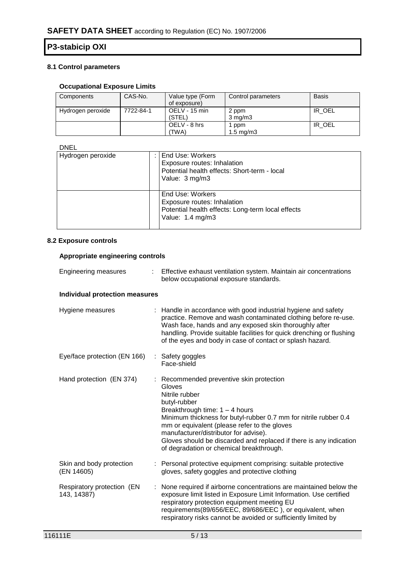# **8.1 Control parameters**

# **Occupational Exposure Limits**

| Components        | CAS-No.   | Value type (Form<br>of exposure) | Control parameters          | <b>Basis</b> |
|-------------------|-----------|----------------------------------|-----------------------------|--------------|
| Hydrogen peroxide | 7722-84-1 | OELV - 15 min<br>(STEL)          | 2 ppm<br>$3 \text{ mg/m}$   | IR OEL       |
|                   |           | OELV - 8 hrs<br>TWA)             | ppm<br>$1.5 \text{ ma/m}$ 3 | IR OEL       |

# DNEL

| Hydrogen peroxide | End Use: Workers<br>Exposure routes: Inhalation<br>Potential health effects: Short-term - local<br>Value: 3 mg/m3        |
|-------------------|--------------------------------------------------------------------------------------------------------------------------|
|                   | End Use: Workers<br>Exposure routes: Inhalation<br>Potential health effects: Long-term local effects<br>Value: 1.4 mg/m3 |

## **8.2 Exposure controls**

#### **Appropriate engineering controls**

| <b>Engineering measures</b>               |    | Effective exhaust ventilation system. Maintain air concentrations<br>below occupational exposure standards.                                                                                                                                                                                                                                                                                             |
|-------------------------------------------|----|---------------------------------------------------------------------------------------------------------------------------------------------------------------------------------------------------------------------------------------------------------------------------------------------------------------------------------------------------------------------------------------------------------|
| <b>Individual protection measures</b>     |    |                                                                                                                                                                                                                                                                                                                                                                                                         |
| Hygiene measures                          |    | : Handle in accordance with good industrial hygiene and safety<br>practice. Remove and wash contaminated clothing before re-use.<br>Wash face, hands and any exposed skin thoroughly after<br>handling. Provide suitable facilities for quick drenching or flushing<br>of the eyes and body in case of contact or splash hazard.                                                                        |
| Eye/face protection (EN 166)              |    | : Safety goggles<br>Face-shield                                                                                                                                                                                                                                                                                                                                                                         |
| Hand protection (EN 374)                  |    | : Recommended preventive skin protection<br>Gloves<br>Nitrile rubber<br>butyl-rubber<br>Breakthrough time: $1 - 4$ hours<br>Minimum thickness for butyl-rubber 0.7 mm for nitrile rubber 0.4<br>mm or equivalent (please refer to the gloves<br>manufacturer/distributor for advise).<br>Gloves should be discarded and replaced if there is any indication<br>of degradation or chemical breakthrough. |
| Skin and body protection<br>(EN 14605)    |    | : Personal protective equipment comprising: suitable protective<br>gloves, safety goggles and protective clothing                                                                                                                                                                                                                                                                                       |
| Respiratory protection (EN<br>143, 14387) | ÷. | None required if airborne concentrations are maintained below the<br>exposure limit listed in Exposure Limit Information. Use certified<br>respiratory protection equipment meeting EU<br>requirements(89/656/EEC, 89/686/EEC), or equivalent, when<br>respiratory risks cannot be avoided or sufficiently limited by                                                                                   |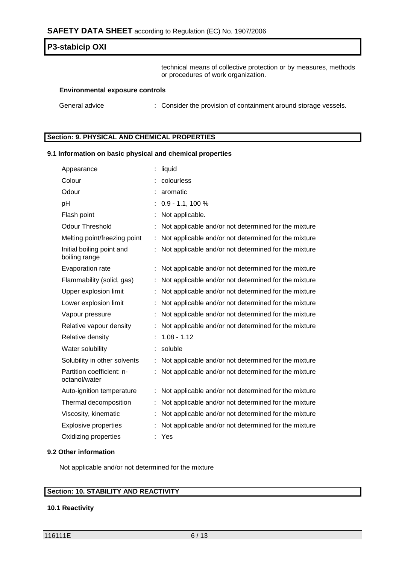technical means of collective protection or by measures, methods or procedures of work organization.

#### **Environmental exposure controls**

General advice : Consider the provision of containment around storage vessels.

#### **Section: 9. PHYSICAL AND CHEMICAL PROPERTIES**

#### **9.1 Information on basic physical and chemical properties**

| Appearance                                 | liquid                                               |
|--------------------------------------------|------------------------------------------------------|
| Colour                                     | colourless                                           |
| Odour                                      | aromatic                                             |
| pH                                         | $0.9 - 1.1, 100 %$                                   |
| Flash point                                | Not applicable.                                      |
| <b>Odour Threshold</b>                     | Not applicable and/or not determined for the mixture |
| Melting point/freezing point               | Not applicable and/or not determined for the mixture |
| Initial boiling point and<br>boiling range | Not applicable and/or not determined for the mixture |
| Evaporation rate                           | Not applicable and/or not determined for the mixture |
| Flammability (solid, gas)                  | Not applicable and/or not determined for the mixture |
| Upper explosion limit                      | Not applicable and/or not determined for the mixture |
| Lower explosion limit                      | Not applicable and/or not determined for the mixture |
| Vapour pressure                            | Not applicable and/or not determined for the mixture |
| Relative vapour density                    | Not applicable and/or not determined for the mixture |
| Relative density                           | $1.08 - 1.12$                                        |
| Water solubility                           | soluble                                              |
| Solubility in other solvents               | Not applicable and/or not determined for the mixture |
| Partition coefficient: n-<br>octanol/water | Not applicable and/or not determined for the mixture |
| Auto-ignition temperature                  | Not applicable and/or not determined for the mixture |
| Thermal decomposition                      | Not applicable and/or not determined for the mixture |
| Viscosity, kinematic                       | Not applicable and/or not determined for the mixture |
| <b>Explosive properties</b>                | Not applicable and/or not determined for the mixture |
| Oxidizing properties                       | : Yes                                                |

#### **9.2 Other information**

Not applicable and/or not determined for the mixture

#### **Section: 10. STABILITY AND REACTIVITY**

#### **10.1 Reactivity**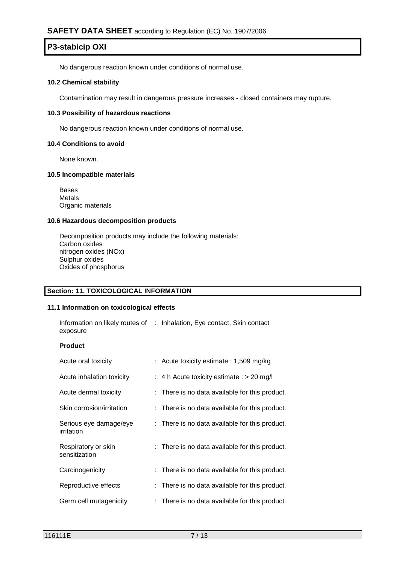No dangerous reaction known under conditions of normal use.

#### **10.2 Chemical stability**

Contamination may result in dangerous pressure increases - closed containers may rupture.

#### **10.3 Possibility of hazardous reactions**

No dangerous reaction known under conditions of normal use.

#### **10.4 Conditions to avoid**

None known.

#### **10.5 Incompatible materials**

Bases Metals Organic materials

#### **10.6 Hazardous decomposition products**

Decomposition products may include the following materials: Carbon oxides nitrogen oxides (NOx) Sulphur oxides Oxides of phosphorus

### **Section: 11. TOXICOLOGICAL INFORMATION**

#### **11.1 Information on toxicological effects**

| Information on likely routes of : Inhalation, Eye contact, Skin contact |  |  |
|-------------------------------------------------------------------------|--|--|
| exposure                                                                |  |  |

#### **Product**

| Acute oral toxicity                  | : Acute toxicity estimate : 1,509 mg/kg        |
|--------------------------------------|------------------------------------------------|
| Acute inhalation toxicity            | : 4 h Acute toxicity estimate : $> 20$ mg/l    |
| Acute dermal toxicity                | : There is no data available for this product. |
| Skin corrosion/irritation            | : There is no data available for this product. |
| Serious eye damage/eye<br>irritation | : There is no data available for this product. |
| Respiratory or skin<br>sensitization | : There is no data available for this product. |
| Carcinogenicity                      | : There is no data available for this product. |
| Reproductive effects                 | : There is no data available for this product. |
| Germ cell mutagenicity               | : There is no data available for this product. |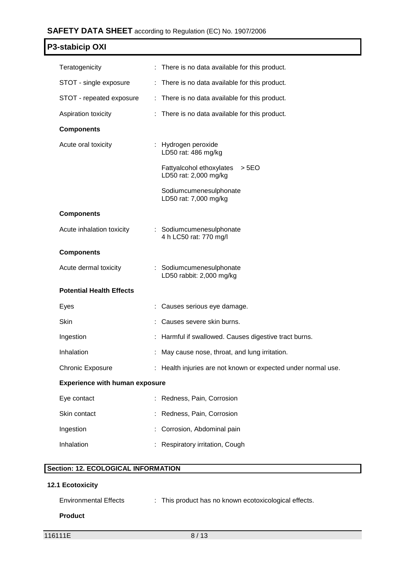# **SAFETY DATA SHEET** according to Regulation (EC) No. 1907/2006

# **P3-stabicip OXI**

| Teratogenicity                        | : There is no data available for this product.                |
|---------------------------------------|---------------------------------------------------------------|
| STOT - single exposure                | : There is no data available for this product.                |
| STOT - repeated exposure              | : There is no data available for this product.                |
| Aspiration toxicity                   | : There is no data available for this product.                |
| <b>Components</b>                     |                                                               |
| Acute oral toxicity                   | : Hydrogen peroxide<br>LD50 rat: 486 mg/kg                    |
|                                       | Fattyalcohol ethoxylates<br>> 5EO<br>LD50 rat: 2,000 mg/kg    |
|                                       | Sodiumcumenesulphonate<br>LD50 rat: 7,000 mg/kg               |
| <b>Components</b>                     |                                                               |
| Acute inhalation toxicity             | : Sodiumcumenesulphonate<br>4 h LC50 rat: 770 mg/l            |
| <b>Components</b>                     |                                                               |
| Acute dermal toxicity                 | : Sodiumcumenesulphonate<br>LD50 rabbit: 2,000 mg/kg          |
| <b>Potential Health Effects</b>       |                                                               |
| Eyes                                  | : Causes serious eye damage.                                  |
| Skin                                  | Causes severe skin burns.                                     |
| Ingestion                             | Harmful if swallowed. Causes digestive tract burns.           |
| Inhalation                            | May cause nose, throat, and lung irritation.                  |
| <b>Chronic Exposure</b>               | : Health injuries are not known or expected under normal use. |
| <b>Experience with human exposure</b> |                                                               |
| Eye contact                           | Redness, Pain, Corrosion                                      |
| Skin contact                          | Redness, Pain, Corrosion                                      |
| Ingestion                             | Corrosion, Abdominal pain                                     |
| Inhalation                            | Respiratory irritation, Cough                                 |

# **Section: 12. ECOLOGICAL INFORMATION**

# **12.1 Ecotoxicity**

| <b>Environmental Effects</b> | This product has no known ecotoxicological effects. |  |
|------------------------------|-----------------------------------------------------|--|
|                              |                                                     |  |

# **Product**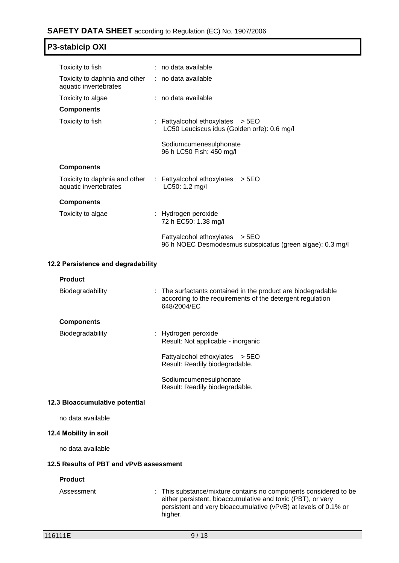| Toxicity to fish                                                           | $:$ no data available                                                                         |
|----------------------------------------------------------------------------|-----------------------------------------------------------------------------------------------|
| Toxicity to daphnia and other : no data available<br>aquatic invertebrates |                                                                                               |
| Toxicity to algae                                                          | : no data available                                                                           |
| <b>Components</b>                                                          |                                                                                               |
| Toxicity to fish                                                           | : Fattyalcohol ethoxylates $>$ 5EO<br>LC50 Leuciscus idus (Golden orfe): 0.6 mg/l             |
|                                                                            | Sodiumcumenesulphonate<br>96 h LC50 Fish: 450 mg/l                                            |
| <b>Components</b>                                                          |                                                                                               |
| aquatic invertebrates                                                      | Toxicity to daphnia and other $\therefore$ Fattyalcohol ethoxylates $>$ 5EO<br>LC50: 1.2 mg/l |
| <b>Components</b>                                                          |                                                                                               |
| Toxicity to algae                                                          | : Hydrogen peroxide<br>72 h EC50: 1.38 mg/l                                                   |
|                                                                            | Fattyalcohol ethoxylates > 5EO<br>96 h NOEC Desmodesmus subspicatus (green algae): 0.3 mg/l   |
|                                                                            |                                                                                               |

### **12.2 Persistence and degradability**

| <b>Product</b>    |                                                                                                                                          |
|-------------------|------------------------------------------------------------------------------------------------------------------------------------------|
| Biodegradability  | : The surfactants contained in the product are biodegradable<br>according to the requirements of the detergent regulation<br>648/2004/EC |
| <b>Components</b> |                                                                                                                                          |
| Biodegradability  | : Hydrogen peroxide<br>Result: Not applicable - inorganic                                                                                |
|                   | Fattyalcohol ethoxylates<br>> 5E <sub>O</sub><br>Result: Readily biodegradable.                                                          |
|                   | Sodiumcumenesulphonate<br>Result: Readily biodegradable.                                                                                 |

#### **12.3 Bioaccumulative potential**

no data available

#### **12.4 Mobility in soil**

no data available

### **12.5 Results of PBT and vPvB assessment**

### **Product**

Assessment : This substance/mixture contains no components considered to be either persistent, bioaccumulative and toxic (PBT), or very persistent and very bioaccumulative (vPvB) at levels of 0.1% or higher.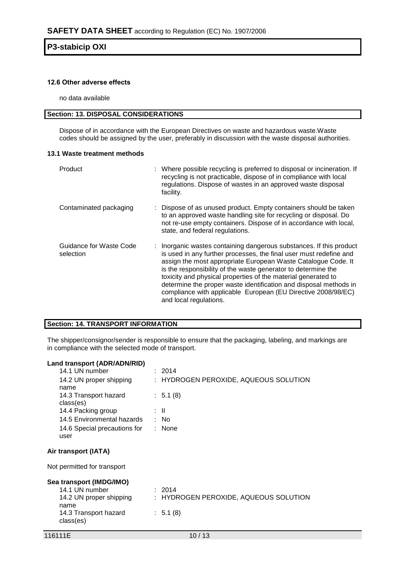#### **12.6 Other adverse effects**

no data available

# **Section: 13. DISPOSAL CONSIDERATIONS**

Dispose of in accordance with the European Directives on waste and hazardous waste.Waste codes should be assigned by the user, preferably in discussion with the waste disposal authorities.

#### **13.1 Waste treatment methods**

| Product                              | : Where possible recycling is preferred to disposal or incineration. If<br>recycling is not practicable, dispose of in compliance with local<br>regulations. Dispose of wastes in an approved waste disposal<br>facility.                                                                                                                                                                                                                                                                                    |
|--------------------------------------|--------------------------------------------------------------------------------------------------------------------------------------------------------------------------------------------------------------------------------------------------------------------------------------------------------------------------------------------------------------------------------------------------------------------------------------------------------------------------------------------------------------|
| Contaminated packaging               | Dispose of as unused product. Empty containers should be taken<br>to an approved waste handling site for recycling or disposal. Do<br>not re-use empty containers. Dispose of in accordance with local,<br>state, and federal regulations.                                                                                                                                                                                                                                                                   |
| Guidance for Waste Code<br>selection | : Inorganic wastes containing dangerous substances. If this product<br>is used in any further processes, the final user must redefine and<br>assign the most appropriate European Waste Catalogue Code. It<br>is the responsibility of the waste generator to determine the<br>toxicity and physical properties of the material generated to<br>determine the proper waste identification and disposal methods in<br>compliance with applicable European (EU Directive 2008/98/EC)<br>and local regulations. |

#### **Section: 14. TRANSPORT INFORMATION**

The shipper/consignor/sender is responsible to ensure that the packaging, labeling, and markings are in compliance with the selected mode of transport.

#### **Land transport (ADR/ADN/RID)**

| 14.1 UN number                       | : 2014                                |
|--------------------------------------|---------------------------------------|
| 14.2 UN proper shipping<br>name      | : HYDROGEN PEROXIDE, AQUEOUS SOLUTION |
| 14.3 Transport hazard<br>class(es)   | : 5.1(8)                              |
| 14.4 Packing group                   | : II                                  |
| 14.5 Environmental hazards           | : No                                  |
| 14.6 Special precautions for<br>user | $:$ None                              |
| Air transport (IATA)                 |                                       |
| Not permitted for transport          |                                       |
| Sea transport (IMDG/IMO)             |                                       |
| 14.1 UN number                       | : 2014                                |
| 14.2 UN proper shipping              | HYDROGEN PEROXIDE, AQUEOUS SOLUTION   |
| name                                 |                                       |
| 14.3 Transport hazard<br>class(es)   | : 5.1(8)                              |
| 116111E                              | 10/13                                 |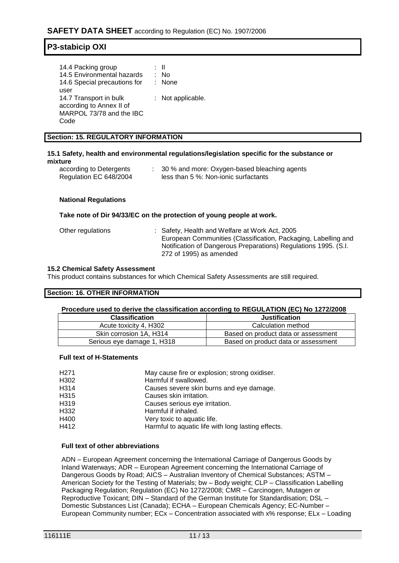| 14.4 Packing group           | : II              |
|------------------------------|-------------------|
| 14.5 Environmental hazards   | : No              |
| 14.6 Special precautions for | : None            |
| user                         |                   |
| 14.7 Transport in bulk       | : Not applicable. |
| according to Annex II of     |                   |
| MARPOL 73/78 and the IBC     |                   |
| Code                         |                   |

#### **Section: 15. REGULATORY INFORMATION**

#### **15.1 Safety, health and environmental regulations/legislation specific for the substance or mixture**

| according to Detergents | 30 % and more: Oxygen-based bleaching agents |
|-------------------------|----------------------------------------------|
| Regulation EC 648/2004  | less than 5 %: Non-ionic surfactants         |

#### **National Regulations**

#### **Take note of Dir 94/33/EC on the protection of young people at work.**

| Other regulations | : Safety, Health and Welfare at Work Act, 2005                  |
|-------------------|-----------------------------------------------------------------|
|                   | European Communities (Classification, Packaging, Labelling and  |
|                   | Notification of Dangerous Preparations) Regulations 1995. (S.I. |
|                   | 272 of 1995) as amended                                         |

#### **15.2 Chemical Safety Assessment**

This product contains substances for which Chemical Safety Assessments are still required.

#### **Section: 16. OTHER INFORMATION**

#### **Procedure used to derive the classification according to REGULATION (EC) No 1272/2008**

| <b>Classification</b>      | <b>Justification</b>                |
|----------------------------|-------------------------------------|
| Acute toxicity 4, H302     | Calculation method                  |
| Skin corrosion 1A, H314    | Based on product data or assessment |
| Serious eye damage 1, H318 | Based on product data or assessment |

#### **Full text of H-Statements**

| H <sub>271</sub> | May cause fire or explosion; strong oxidiser.      |
|------------------|----------------------------------------------------|
| H302             | Harmful if swallowed.                              |
| H314             | Causes severe skin burns and eye damage.           |
| H315             | Causes skin irritation.                            |
| H319             | Causes serious eye irritation.                     |
| H332             | Harmful if inhaled.                                |
| H400             | Very toxic to aquatic life.                        |
| H412             | Harmful to aquatic life with long lasting effects. |

#### **Full text of other abbreviations**

ADN – European Agreement concerning the International Carriage of Dangerous Goods by Inland Waterways; ADR – European Agreement concerning the International Carriage of Dangerous Goods by Road; AICS – Australian Inventory of Chemical Substances; ASTM – American Society for the Testing of Materials; bw – Body weight; CLP – Classification Labelling Packaging Regulation; Regulation (EC) No 1272/2008; CMR – Carcinogen, Mutagen or Reproductive Toxicant; DIN – Standard of the German Institute for Standardisation; DSL – Domestic Substances List (Canada); ECHA – European Chemicals Agency; EC-Number – European Community number; ECx – Concentration associated with x% response; ELx – Loading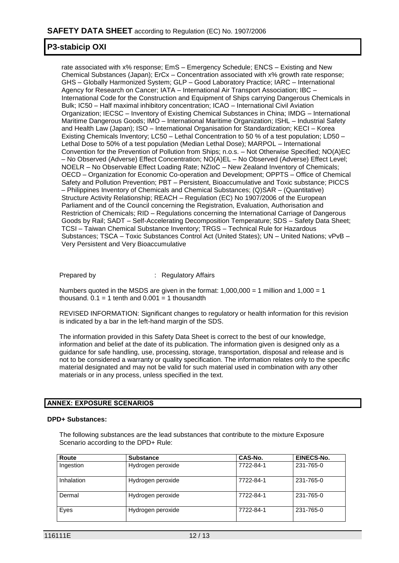rate associated with x% response; EmS – Emergency Schedule; ENCS – Existing and New Chemical Substances (Japan); ErCx – Concentration associated with x% growth rate response; GHS – Globally Harmonized System; GLP – Good Laboratory Practice; IARC – International Agency for Research on Cancer; IATA – International Air Transport Association; IBC – International Code for the Construction and Equipment of Ships carrying Dangerous Chemicals in Bulk; IC50 – Half maximal inhibitory concentration; ICAO – International Civil Aviation Organization; IECSC – Inventory of Existing Chemical Substances in China; IMDG – International Maritime Dangerous Goods; IMO – International Maritime Organization; ISHL – Industrial Safety and Health Law (Japan); ISO – International Organisation for Standardization; KECI – Korea Existing Chemicals Inventory; LC50 – Lethal Concentration to 50 % of a test population; LD50 – Lethal Dose to 50% of a test population (Median Lethal Dose); MARPOL – International Convention for the Prevention of Pollution from Ships; n.o.s. – Not Otherwise Specified; NO(A)EC – No Observed (Adverse) Effect Concentration; NO(A)EL – No Observed (Adverse) Effect Level; NOELR – No Observable Effect Loading Rate; NZIoC – New Zealand Inventory of Chemicals; OECD – Organization for Economic Co-operation and Development; OPPTS – Office of Chemical Safety and Pollution Prevention; PBT – Persistent, Bioaccumulative and Toxic substance; PICCS – Philippines Inventory of Chemicals and Chemical Substances; (Q)SAR – (Quantitative) Structure Activity Relationship; REACH – Regulation (EC) No 1907/2006 of the European Parliament and of the Council concerning the Registration, Evaluation, Authorisation and Restriction of Chemicals; RID – Regulations concerning the International Carriage of Dangerous Goods by Rail; SADT – Self-Accelerating Decomposition Temperature; SDS – Safety Data Sheet; TCSI – Taiwan Chemical Substance Inventory; TRGS – Technical Rule for Hazardous Substances; TSCA – Toxic Substances Control Act (United States); UN – United Nations; vPvB – Very Persistent and Very Bioaccumulative

Prepared by : Regulatory Affairs

Numbers quoted in the MSDS are given in the format:  $1,000,000 = 1$  million and  $1,000 = 1$ thousand.  $0.1 = 1$  tenth and  $0.001 = 1$  thousandth

REVISED INFORMATION: Significant changes to regulatory or health information for this revision is indicated by a bar in the left-hand margin of the SDS.

The information provided in this Safety Data Sheet is correct to the best of our knowledge, information and belief at the date of its publication. The information given is designed only as a guidance for safe handling, use, processing, storage, transportation, disposal and release and is not to be considered a warranty or quality specification. The information relates only to the specific material designated and may not be valid for such material used in combination with any other materials or in any process, unless specified in the text.

### **ANNEX: EXPOSURE SCENARIOS**

#### **DPD+ Substances:**

The following substances are the lead substances that contribute to the mixture Exposure Scenario according to the DPD+ Rule:

| Route      | <b>Substance</b>  | CAS-No.   | EINECS-No. |
|------------|-------------------|-----------|------------|
| Ingestion  | Hydrogen peroxide | 7722-84-1 | 231-765-0  |
| Inhalation | Hydrogen peroxide | 7722-84-1 | 231-765-0  |
| Dermal     | Hydrogen peroxide | 7722-84-1 | 231-765-0  |
| Eyes       | Hydrogen peroxide | 7722-84-1 | 231-765-0  |